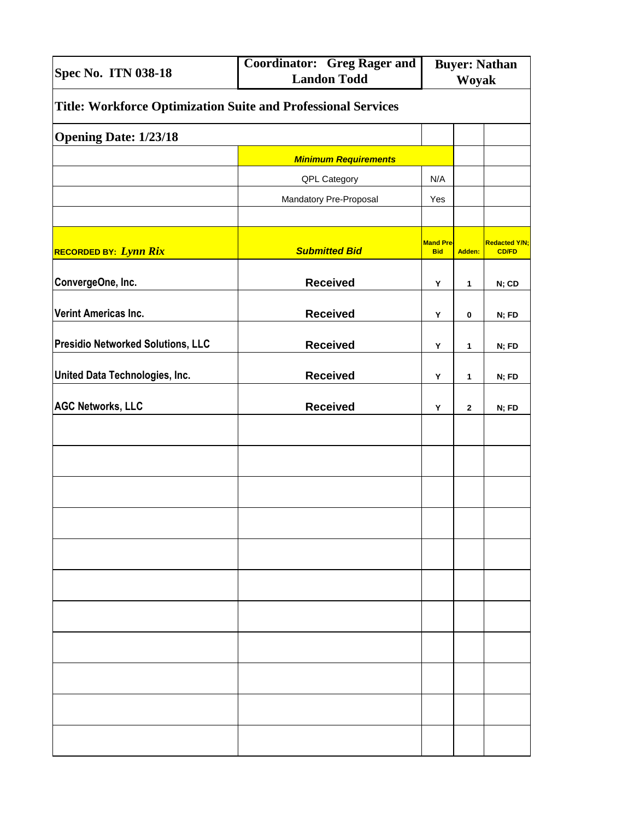| <b>Spec No. ITN 038-18</b>                                    | <b>Coordinator: Greg Rager and</b><br><b>Landon Todd</b> | <b>Buyer: Nathan</b><br><b>Woyak</b> |             |                                      |  |  |  |
|---------------------------------------------------------------|----------------------------------------------------------|--------------------------------------|-------------|--------------------------------------|--|--|--|
| Title: Workforce Optimization Suite and Professional Services |                                                          |                                      |             |                                      |  |  |  |
| <b>Opening Date: 1/23/18</b>                                  |                                                          |                                      |             |                                      |  |  |  |
|                                                               | <b>Minimum Requirements</b>                              |                                      |             |                                      |  |  |  |
|                                                               | QPL Category                                             | N/A                                  |             |                                      |  |  |  |
|                                                               | Mandatory Pre-Proposal                                   | Yes                                  |             |                                      |  |  |  |
|                                                               |                                                          |                                      |             |                                      |  |  |  |
| RECORDED BY: Lynn Rix                                         | <b>Submitted Bid</b>                                     | <b>Mand Pre-</b><br><b>Bid</b>       | Adden:      | <b>Redacted Y/N;</b><br><b>CD/FD</b> |  |  |  |
| ConvergeOne, Inc.                                             | <b>Received</b>                                          | Υ                                    | 1           | N; CD                                |  |  |  |
| Verint Americas Inc.                                          | <b>Received</b>                                          | Y                                    | $\bf{0}$    | N; FD                                |  |  |  |
| <b>Presidio Networked Solutions, LLC</b>                      | <b>Received</b>                                          | Υ                                    | 1           | N; FD                                |  |  |  |
| United Data Technologies, Inc.                                | <b>Received</b>                                          | Y                                    | 1           | N; FD                                |  |  |  |
| <b>AGC Networks, LLC</b>                                      | <b>Received</b>                                          | Y                                    | $\mathbf 2$ | N; FD                                |  |  |  |
|                                                               |                                                          |                                      |             |                                      |  |  |  |
|                                                               |                                                          |                                      |             |                                      |  |  |  |
|                                                               |                                                          |                                      |             |                                      |  |  |  |
|                                                               |                                                          |                                      |             |                                      |  |  |  |
|                                                               |                                                          |                                      |             |                                      |  |  |  |
|                                                               |                                                          |                                      |             |                                      |  |  |  |
|                                                               |                                                          |                                      |             |                                      |  |  |  |
|                                                               |                                                          |                                      |             |                                      |  |  |  |
|                                                               |                                                          |                                      |             |                                      |  |  |  |
|                                                               |                                                          |                                      |             |                                      |  |  |  |
|                                                               |                                                          |                                      |             |                                      |  |  |  |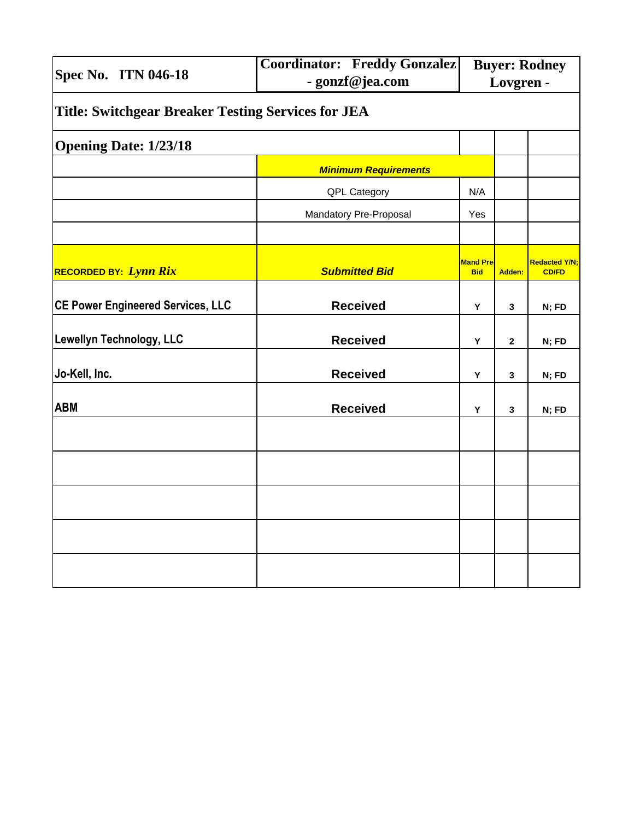| <b>Spec No. ITN 046-18</b>                                | <b>Coordinator: Freddy Gonzalez</b><br>- gonzf@jea.com | <b>Buyer: Rodney</b><br>Lovgren - |              |                                      |  |  |  |  |
|-----------------------------------------------------------|--------------------------------------------------------|-----------------------------------|--------------|--------------------------------------|--|--|--|--|
| <b>Title: Switchgear Breaker Testing Services for JEA</b> |                                                        |                                   |              |                                      |  |  |  |  |
| <b>Opening Date: 1/23/18</b>                              |                                                        |                                   |              |                                      |  |  |  |  |
|                                                           | <b>Minimum Requirements</b>                            |                                   |              |                                      |  |  |  |  |
|                                                           | QPL Category                                           | N/A                               |              |                                      |  |  |  |  |
|                                                           | Mandatory Pre-Proposal                                 | Yes                               |              |                                      |  |  |  |  |
|                                                           |                                                        |                                   |              |                                      |  |  |  |  |
| <b>RECORDED BY: Lynn Rix</b>                              | <b>Submitted Bid</b>                                   | <b>Mand Pre-</b><br><b>Bid</b>    | Adden:       | <b>Redacted Y/N;</b><br><b>CD/FD</b> |  |  |  |  |
| <b>CE Power Engineered Services, LLC</b>                  | <b>Received</b>                                        | Υ                                 | 3            | N; FD                                |  |  |  |  |
| Lewellyn Technology, LLC                                  | <b>Received</b>                                        | Υ                                 | $\mathbf{2}$ | N; FD                                |  |  |  |  |
| Jo-Kell, Inc.                                             | <b>Received</b>                                        | Υ                                 | 3            | N; FD                                |  |  |  |  |
| <b>ABM</b>                                                | <b>Received</b>                                        | Υ                                 | 3            | N; FD                                |  |  |  |  |
|                                                           |                                                        |                                   |              |                                      |  |  |  |  |
|                                                           |                                                        |                                   |              |                                      |  |  |  |  |
|                                                           |                                                        |                                   |              |                                      |  |  |  |  |
|                                                           |                                                        |                                   |              |                                      |  |  |  |  |
|                                                           |                                                        |                                   |              |                                      |  |  |  |  |